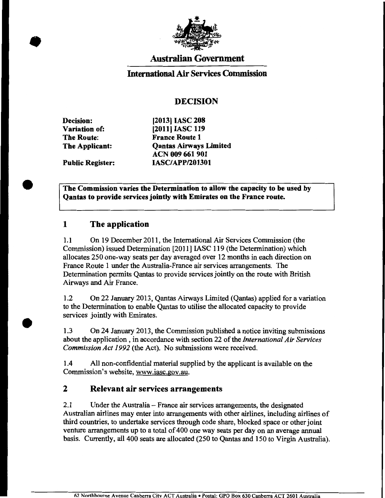

# Australian Government

#### International Air Services Commission

### DECISION

Decision: Variation of: The Route: The Applicant:

Public Register:

[2013] IASC 208 [2011] IASC 119 France Route 1 Qantas Airways Limited ACN 009 661 901 IASC/APP/201301

The Commission varies the Determination to allow the capacity to be used by Qantas to provide services jointly with Emirates on the France route.

#### 1 The application

1.1 On 19 December 2011, the International Air Services Commission (the Commission) issued Determination [2011] IASC 119 (the Determination) which allocates 250 one-way seats per day averaged over 12 months in each direction on France Route 1 under the Australia-France air services arrangements. The Determination permits Qantas to provide services jointly on the route with British Airways and Air France.

1.2 On 22 January 2013, Qantas Airways Limited (Qantas) applied for a variation to the Determination to enable Qantas to utilise the allocated capacity to provide services jointly with Emirates.

1.3 On 24 January 2013, the Commission published a notice inviting submissions about the application , in accordance with section 22 of the *International Air Services Commission Act 1992* (the Act). No submissions were received.

1.4 All non-confidential material supplied by the applicant is available on the Commission's website, www.iasc.gov.au.

#### 2 Relevant air services arrangements

2.1 Under the Australia- France air services arrangements, the designated Australian airlines may enter into arrangements with other airlines, including airlines of third countries, to undertake services through code share, blocked space or other joint venture arrangements up to a total of 400 one way seats per day on an average annual basis. Currently, all400 seats are allocated (250 to Qantas and 150 to Virgin Australia).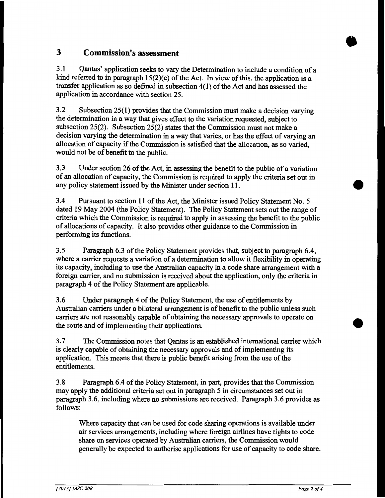# **3 Commission's assessment**

3.1 Qantas' application seeks to vary the Determination to include a condition of a kind referred to in paragraph  $15(2)(e)$  of the Act. In view of this, the application is a transfer application as so defined in subsection  $4(1)$  of the Act and has assessed the application in accordance with section 25.

3.2 Subsection 25(1) provides that the Commission must make a decision varying the determination in a way that gives effect to the variation requested, subject to subsection 25(2). Subsection 25(2) states that the Commission must not make a decision varying the determination in a way that varies, or has the effect of varying an allocation of capacity if the Commission is satisfied that the allocation, as so varied, would not be of benefit to the public.

3.3 Under section 26 of the Act, in assessing the benefit to the public of a variation of an allocation of capacity, the Commission is required to apply the criteria set out in any policy statement issued by the Minister under section 11.

3.4 Pursuant to section 11 of the Act, the Minister issued Policy Statement No.5 dated 19 May 2004 (the Policy Statement). The Policy Statement sets out the range of criteria which the Commission is required to apply in assessing the benefit to the public of allocations of capacity. It also provides other guidance to the Commission in performing its functions.

3.5 Paragraph 6.3 of the Policy Statement provides that, subject to paragraph 6.4, where a carrier requests a variation of a determination to allow it flexibility in operating its capacity, including to use the Australian capacity in a code share arrangement with a foreign carrier, and no submission is received about the application, only the criteria in paragraph 4 of the Policy Statement are applicable.

3.6 Under paragraph 4 of the Policy Statement, the use of entitlements by Australian carriers under a bilateral arrangement is of benefit to the public unless such carriers are not reasonably capable of obtaining the necessary approvals to operate on the route and of implementing their applications.

3. 7 The Commission notes that Qantas is an established international carrier which is clearly capable of obtaining the necessary approvals and of implementing its application. This means that there is public benefit arising from the use of the entitlements.

3.8 Paragraph 6.4 of the Policy Statement, in part, provides that the Commission may apply the additional criteria set out in paragraph 5 in circumstances set out in paragraph 3.6, including where no submissions are received. Paragraph 3.6 provides as follows:

Where capacity that can be used for code sharing operations is available under air services arrangements, including where foreign airlines have rights to code share on services operated by Australian carriers, the Commission would generally be expected to authorise applications for use of capacity to code share. •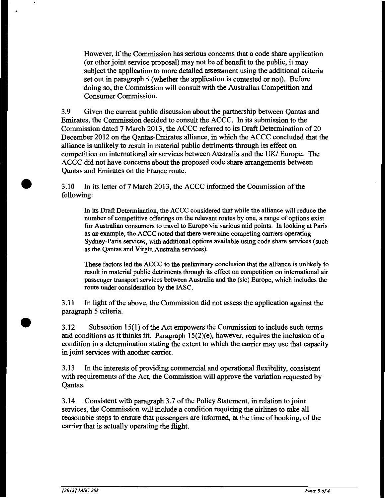However, if the Commission has serious concerns that a code share application (or other joint service proposal) may not be of benefit to the public, it may subject the application to more detailed assessment using the additional criteria set out in paragraph 5 (whether the application is contested or not). Before doing so, the Commission will consult with the Australian Competition and Consumer Commission.

3.9 Given the current public discussion about the partnership between Qantas and Emirates, the Commission decided to consult the ACCC. In its submission to the Commission dated 7 March 2013, the ACCC referred to its Draft Determination of 20 December 2012 on the Qantas-Emirates alliance, in which the ACCC concluded that the alliance is unlikely to result in material public detriments through its effect on competition on international air services between Australia and the UK/ Europe. The ACCC did not have concerns about the proposed code share arrangements between Qantas and Emirates on the France route.

3.10 In its letter of 7 March 2013, the ACCC informed the Commission of the following:

In its Draft Determination, the ACCC considered that while the alliance will reduce the number of competitive offerings on the relevant routes by one, a range of options exist for Australian consumers to travel to Europe via various mid points. In looking at Paris as an example, the ACCC noted that there were nine competing carriers operating Sydney-Paris services, with additional options available using code share services (such as the Qantas and Virgin Australia services).

These factors led the ACCC to the preliminary conclusion that the alliance is unlikely to result in material public detriments through its effect on competition on international air passenger transport services between Australia and the (sic) Europe, which includes the route under consideration by the IASC.

3 .11 In light of the above, the Commission did not assess the application against the paragraph 5 criteria.

3.12 Subsection 15(1) ofthe Act empowers the Commission to include such terms and conditions as it thinks fit. Paragraph  $15(2)(e)$ , however, requires the inclusion of a condition in a determination stating the extent to which the carrier may use that capacity in joint services with another carrier.

3.13 In the interests of providing commercial and operational flexibility, consistent with requirements of the Act, the Commission will approve the variation requested by Qantas.

3.14 Consistent with paragraph 3. 7 of the Policy Statement, in relation to joint services, the Commission will include a condition requiring the airlines to take all reasonable steps to ensure that passengers are informed, at the time of booking, of the carrier that is actually operating the flight.